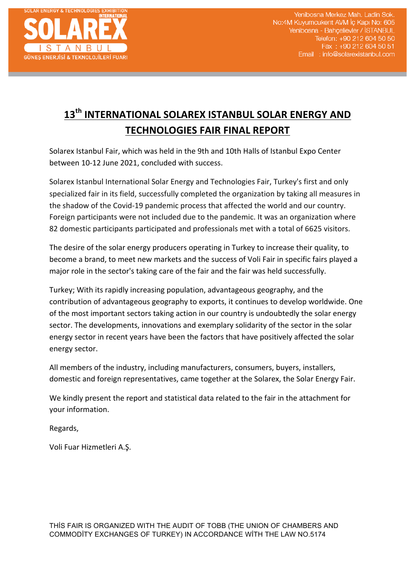

# 13<sup>th</sup> INTERNATIONAL SOLAREX ISTANBUL SOLAR ENERGY AND **TECHNOLOGIES FAIR FINAL REPORT**

Solarex Istanbul Fair, which was held in the 9th and 10th Halls of Istanbul Expo Center between 10-12 June 2021, concluded with success.

Solarex Istanbul International Solar Energy and Technologies Fair, Turkey's first and only specialized fair in its field, successfully completed the organization by taking all measures in the shadow of the Covid-19 pandemic process that affected the world and our country. Foreign participants were not included due to the pandemic. It was an organization where 82 domestic participants participated and professionals met with a total of 6625 visitors.

The desire of the solar energy producers operating in Turkey to increase their quality, to become a brand, to meet new markets and the success of Voli Fair in specific fairs played a major role in the sector's taking care of the fair and the fair was held successfully.

Turkey; With its rapidly increasing population, advantageous geography, and the contribution of advantageous geography to exports, it continues to develop worldwide. One of the most important sectors taking action in our country is undoubtedly the solar energy sector. The developments, innovations and exemplary solidarity of the sector in the solar energy sector in recent years have been the factors that have positively affected the solar energy sector.

All members of the industry, including manufacturers, consumers, buyers, installers, domestic and foreign representatives, came together at the Solarex, the Solar Energy Fair.

We kindly present the report and statistical data related to the fair in the attachment for your information.

Regards,

Voli Fuar Hizmetleri A.S.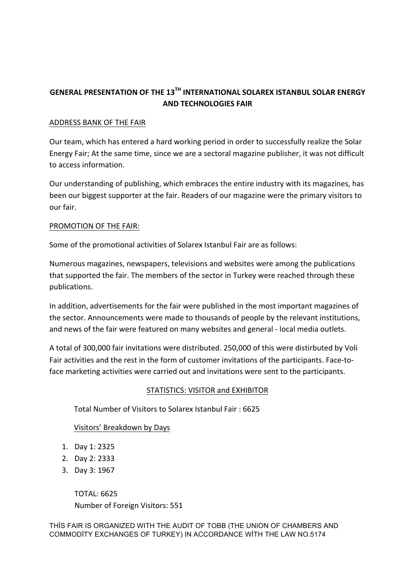# GENERAL PRESENTATION OF THE 13<sup>TH</sup> INTERNATIONAL SOLAREX ISTANBUL SOLAR ENERGY **AND TECHNOLOGIES FAIR**

## ADDRESS BANK OF THE FAIR

Our team, which has entered a hard working period in order to successfully realize the Solar Energy Fair; At the same time, since we are a sectoral magazine publisher, it was not difficult to access information.

Our understanding of publishing, which embraces the entire industry with its magazines, has been our biggest supporter at the fair. Readers of our magazine were the primary visitors to our fair.

# PROMOTION OF THE FAIR:

Some of the promotional activities of Solarex Istanbul Fair are as follows:

Numerous magazines, newspapers, televisions and websites were among the publications that supported the fair. The members of the sector in Turkey were reached through these publications.

In addition, advertisements for the fair were published in the most important magazines of the sector. Announcements were made to thousands of people by the relevant institutions, and news of the fair were featured on many websites and general - local media outlets.

A total of 300,000 fair invitations were distributed. 250,000 of this were distirbuted by Voli Fair activities and the rest in the form of customer invitations of the participants. Face-toface marketing activities were carried out and invitations were sent to the participants.

#### STATISTICS: VISITOR and EXHIBITOR

Total Number of Visitors to Solarex Istanbul Fair : 6625

# Visitors' Breakdown by Days

- 1. Day 1: 2325
- 2. Day 2: 2333
- 3. Day 3: 1967

TOTAL: 6625 Number of Foreign Visitors: 551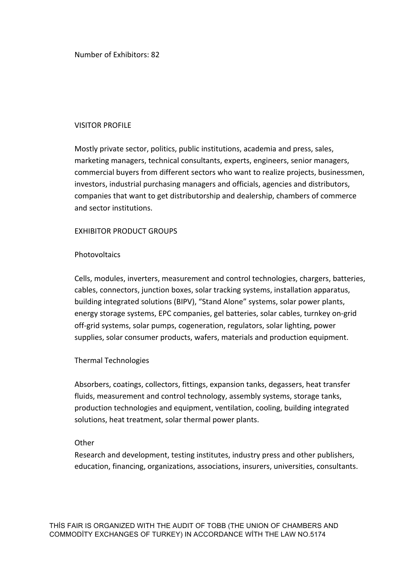Number of Exhibitors: 82

#### VISITOR PROFILE

Mostly private sector, politics, public institutions, academia and press, sales, marketing managers, technical consultants, experts, engineers, senior managers, commercial buyers from different sectors who want to realize projects, businessmen, investors, industrial purchasing managers and officials, agencies and distributors, companies that want to get distributorship and dealership, chambers of commerce and sector institutions.

#### EXHIBITOR PRODUCT GROUPS

# Photovoltaics

Cells, modules, inverters, measurement and control technologies, chargers, batteries, cables, connectors, junction boxes, solar tracking systems, installation apparatus, building integrated solutions (BIPV), "Stand Alone" systems, solar power plants, energy storage systems, EPC companies, gel batteries, solar cables, turnkey on-grid off-grid systems, solar pumps, cogeneration, regulators, solar lighting, power supplies, solar consumer products, wafers, materials and production equipment.

#### Thermal Technologies

Absorbers, coatings, collectors, fittings, expansion tanks, degassers, heat transfer fluids, measurement and control technology, assembly systems, storage tanks, production technologies and equipment, ventilation, cooling, building integrated solutions, heat treatment, solar thermal power plants.

#### **Other**

Research and development, testing institutes, industry press and other publishers, education, financing, organizations, associations, insurers, universities, consultants.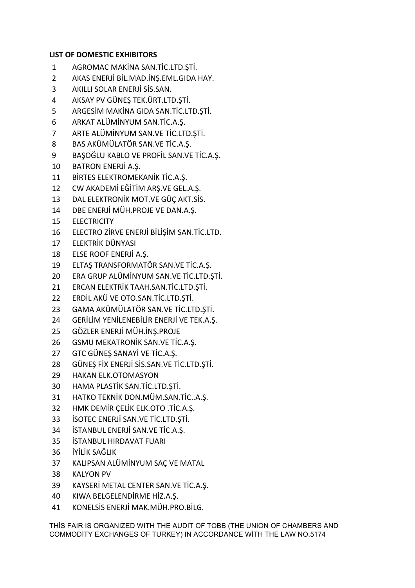# **LIST OF DOMESTIC EXHIBITORS**

- 1 AGROMAC MAKİNA SAN.TİC.LTD.STİ.
- 2 AKAS ENERJİ BİL.MAD.İNŞ.EML.GIDA HAY.
- 3 AKILLI SOLAR ENERJİ SİS.SAN.
- 4 AKSAY PV GÜNEŞ TEK.ÜRT.LTD.ŞTİ.
- 5 ARGESİM MAKİNA GIDA SAN.TİC.LTD.ŞTİ.
- 6 ARKAT ALÜMİNYUM SAN.TİC.A.Ş.
- 7 ARTE ALÜMİNYUM SAN.VE TİC.LTD.ŞTİ.
- 8 BAS AKÜMÜLATÖR SAN.VE TİC.A.Ş.
- 9 BAŞOĞLU KABLO VE PROFİL SAN.VE TİC.A.Ş.
- 10 BATRON ENERJİ A.Ş.
- 11 BİRTES ELEKTROMEKANİK TİC.A.S.
- 12 CW AKADEMİ EĞİTİM ARS.VE GEL.A.S.
- 13 DAL ELEKTRONİK MOT.VE GÜÇ AKT.SİS.
- 14 DBE ENERJİ MÜH.PROJE VE DAN.A.S.
- 15 ELECTRICITY
- 16 ELECTRO ZİRVE ENERJİ BİLİŞİM SAN.TİC.LTD.
- 17 ELEKTRİK DÜNYASI
- 18 ELSE ROOF ENERJİ A.S.
- 19 ELTAS TRANSFORMATÖR SAN.VE TİC.A.S.
- 20 ERA GRUP ALÜMİNYUM SAN.VE TİC.LTD.ŞTİ.
- 21 ERCAN ELEKTRİK TAAH.SAN.TİC.LTD.ŞTİ.
- 22 ERDİL AKÜ VE OTO.SAN.TİC.LTD.ŞTİ.
- 23 GAMA AKÜMÜLATÖR SAN.VE TİC.LTD.ŞTİ.
- 24 GERİLİM YENİLENEBİLİR ENERJİ VE TEK.A.Ş.
- 25 GÖZLER ENERJİ MÜH.İNŞ.PROJE
- 26 GSMU MEKATRONİK SAN.VE TİC.A.S.
- 27 GTC GÜNEŞ SANAYİ VE TİC.A.Ş.
- 28 GÜNES FİX ENERJİ SİS.SAN.VE TİC.LTD.STİ.
- 29 HAKAN ELK.OTOMASYON
- 30 HAMA PLASTİK SAN.TİC.LTD.ŞTİ.
- 31 HATKO TEKNİK DON.MÜM.SAN.TİC..A.S.
- 32 HMK DEMİR ÇELİK ELK.OTO .TİC.A.Ş.
- 33 **İSOTEC ENERJİ SAN.VE TİC.LTD.STİ.**
- 34 **İSTANBUL ENERJİ SAN.VE TİC.A.S.**
- 35 **İSTANBUL HIRDAVAT FUARI**
- 36 İYİLİK SAĞLIK
- 37 KALIPSAN ALÜMİNYUM SAC VE MATAL
- 38 KALYON PV
- 39 KAYSERİ METAL CENTER SAN.VE TİC.A.Ş.
- 40 KIWA BELGELENDİRME HİZ.A.S.
- 41 KONELSİS ENERJİ MAK.MÜH.PRO.BİLG.